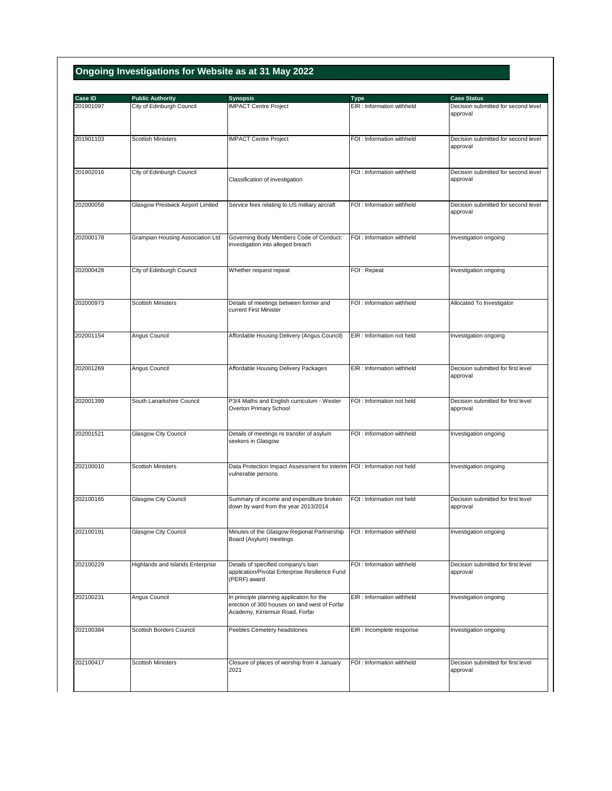## **Ongoing Investigations for Website as at 31 May 2022**

| Case ID<br>201901097 | <b>Public Authority</b><br>City of Edinburgh Council | <b>Synopsis</b><br><b>IMPACT Centre Project</b>                                                | <b>Type</b><br>EIR : Information withheld | <b>Case Status</b><br>Decision submitted for second level |
|----------------------|------------------------------------------------------|------------------------------------------------------------------------------------------------|-------------------------------------------|-----------------------------------------------------------|
|                      |                                                      |                                                                                                |                                           | approval                                                  |
|                      |                                                      |                                                                                                |                                           |                                                           |
| 201901103            | <b>Scottish Ministers</b>                            | <b>IMPACT Centre Project</b>                                                                   | FOI : Information withheld                | Decision submitted for second level                       |
|                      |                                                      |                                                                                                |                                           | approval                                                  |
|                      |                                                      |                                                                                                |                                           |                                                           |
| 201902016            | City of Edinburgh Council                            | Classification of investigation                                                                | FOI: Information withheld                 | Decision submitted for second level<br>approval           |
|                      |                                                      |                                                                                                |                                           |                                                           |
| 202000058            | Glasgow Prestwick Airport Limited                    | Service fees relating to US military aircraft                                                  | FOI : Information withheld                | Decision submitted for second level                       |
|                      |                                                      |                                                                                                |                                           | approval                                                  |
|                      |                                                      |                                                                                                |                                           |                                                           |
| 202000178            | Grampian Housing Association Ltd                     | Governing Body Members Code of Conduct:                                                        | FOI : Information withheld                | Investigation ongoing                                     |
|                      |                                                      | Investigation into alleged breach                                                              |                                           |                                                           |
|                      |                                                      |                                                                                                |                                           |                                                           |
| 202000428            | City of Edinburgh Council                            | Whether request repeat                                                                         | FOI: Repeat                               | Investigation ongoing                                     |
|                      |                                                      |                                                                                                |                                           |                                                           |
| 202000973            | <b>Scottish Ministers</b>                            | Details of meetings between former and                                                         | FOI : Information withheld                | Allocated To Investigator                                 |
|                      |                                                      | current First Minister                                                                         |                                           |                                                           |
|                      |                                                      |                                                                                                |                                           |                                                           |
| 202001154            | Angus Council                                        | Affordable Housing Delivery (Angus Council)                                                    | EIR : Information not held                | Investigation ongoing                                     |
|                      |                                                      |                                                                                                |                                           |                                                           |
|                      |                                                      |                                                                                                |                                           |                                                           |
| 202001269            | Angus Council                                        | Affordable Housing Delivery Packages                                                           | EIR : Information withheld                | Decision submitted for first level<br>approval            |
|                      |                                                      |                                                                                                |                                           |                                                           |
|                      |                                                      |                                                                                                |                                           |                                                           |
| 202001399            | South Lanarkshire Council                            | P3/4 Maths and English curriculum - Wester<br>Overton Primary School                           | FOI: Information not held                 | Decision submitted for first level<br>approval            |
|                      |                                                      |                                                                                                |                                           |                                                           |
| 202001521            | Glasgow City Council                                 | Details of meetings re transfer of asylum                                                      | FOI: Information withheld                 | Investigation ongoing                                     |
|                      |                                                      | seekers in Glasgow                                                                             |                                           |                                                           |
|                      |                                                      |                                                                                                |                                           |                                                           |
| 202100010            | <b>Scottish Ministers</b>                            | Data Protection Impact Assessment for interim FOI : Information not held<br>vulnerable persons |                                           | Investigation ongoing                                     |
|                      |                                                      |                                                                                                |                                           |                                                           |
| 202100165            | Glasgow City Council                                 | Summary of income and expenditure broken                                                       | FOI : Information not held                | Decision submitted for first level                        |
|                      |                                                      | down by ward from the year 2013/2014                                                           |                                           | approval                                                  |
|                      |                                                      |                                                                                                |                                           |                                                           |
| 202100191            | <b>Glasgow City Council</b>                          | Minutes of the Glasgow Regional Partnership                                                    | FOI : Information withheld                | Investigation ongoing                                     |
|                      |                                                      | Board (Asylum) meetings                                                                        |                                           |                                                           |
|                      |                                                      |                                                                                                |                                           |                                                           |
| 202100229            | Highlands and Islands Enterprise                     | Details of specified company's loan<br>application/Pivotal Enterprise Resilience Fund          | FOI: Information withheld                 | Decision submitted for first level<br>approval            |
|                      |                                                      | (PERF) award                                                                                   |                                           |                                                           |
| 202100231            | Angus Council                                        | In principle planning application for the                                                      | EIR : Information withheld                | Investigation ongoing                                     |
|                      |                                                      | erection of 300 houses on land west of Forfar                                                  |                                           |                                                           |
|                      |                                                      | Academy, Kirriemuir Road, Forfar                                                               |                                           |                                                           |
| 202100384            | Scottish Borders Council                             | Peebles Cemetery headstones                                                                    | EIR : Incomplete response                 | Investigation ongoing                                     |
|                      |                                                      |                                                                                                |                                           |                                                           |
|                      |                                                      |                                                                                                |                                           |                                                           |
| 202100417            | <b>Scottish Ministers</b>                            | Closure of places of worship from 4 January<br>2021                                            | FOI: Information withheld                 | Decision submitted for first level<br>approval            |
|                      |                                                      |                                                                                                |                                           |                                                           |
|                      |                                                      |                                                                                                |                                           |                                                           |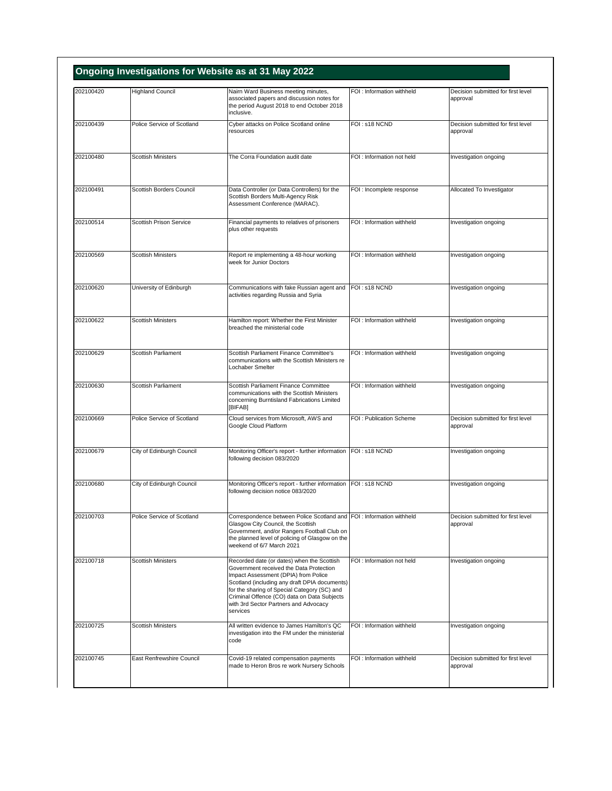| 202100420 | <b>Highland Council</b>        | Nairn Ward Business meeting minutes,                                                                                                                                                                                                                                                                                               | FOI : Information withheld | Decision submitted for first level             |
|-----------|--------------------------------|------------------------------------------------------------------------------------------------------------------------------------------------------------------------------------------------------------------------------------------------------------------------------------------------------------------------------------|----------------------------|------------------------------------------------|
|           |                                | associated papers and discussion notes for<br>the period August 2018 to end October 2018<br>inclusive.                                                                                                                                                                                                                             |                            | approval                                       |
| 202100439 | Police Service of Scotland     | Cyber attacks on Police Scotland online<br>resources                                                                                                                                                                                                                                                                               | FOI: s18 NCND              | Decision submitted for first level<br>approval |
| 202100480 | <b>Scottish Ministers</b>      | The Corra Foundation audit date                                                                                                                                                                                                                                                                                                    | FOI: Information not held  | Investigation ongoing                          |
| 202100491 | Scottish Borders Council       | Data Controller (or Data Controllers) for the<br>Scottish Borders Multi-Agency Risk<br>Assessment Conference (MARAC).                                                                                                                                                                                                              | FOI : Incomplete response  | Allocated To Investigator                      |
| 202100514 | <b>Scottish Prison Service</b> | Financial payments to relatives of prisoners<br>plus other requests                                                                                                                                                                                                                                                                | FOI : Information withheld | Investigation ongoing                          |
| 202100569 | <b>Scottish Ministers</b>      | Report re implementing a 48-hour working<br>week for Junior Doctors                                                                                                                                                                                                                                                                | FOI : Information withheld | Investigation ongoing                          |
| 202100620 | University of Edinburgh        | Communications with fake Russian agent and<br>activities regarding Russia and Syria                                                                                                                                                                                                                                                | FOI: s18 NCND              | Investigation ongoing                          |
| 202100622 | <b>Scottish Ministers</b>      | Hamilton report: Whether the First Minister<br>breached the ministerial code                                                                                                                                                                                                                                                       | FOI : Information withheld | Investigation ongoing                          |
| 202100629 | Scottish Parliament            | Scottish Parliament Finance Committee's<br>communications with the Scottish Ministers re<br>Lochaber Smelter                                                                                                                                                                                                                       | FOI : Information withheld | Investigation ongoing                          |
| 202100630 | Scottish Parliament            | Scottish Parliament Finance Committee<br>communications with the Scottish Ministers<br>concerning Burntisland Fabrications Limited<br>[BIFAB]                                                                                                                                                                                      | FOI : Information withheld | Investigation ongoing                          |
| 202100669 | Police Service of Scotland     | Cloud services from Microsoft, AWS and<br>Google Cloud Platform                                                                                                                                                                                                                                                                    | FOI: Publication Scheme    | Decision submitted for first level<br>approval |
| 202100679 | City of Edinburgh Council      | Monitoring Officer's report - further information FOI: s18 NCND<br>following decision 083/2020                                                                                                                                                                                                                                     |                            | Investigation ongoing                          |
| 202100680 | City of Edinburgh Council      | Monitoring Officer's report - further information<br>following decision notice 083/2020                                                                                                                                                                                                                                            | FOI: s18 NCND              | Investigation ongoing                          |
| 202100703 | Police Service of Scotland     | Correspondence between Police Scotland and FOI : Information withheld<br>Glasgow City Council, the Scottish<br>Government, and/or Rangers Football Club on<br>the planned level of policing of Glasgow on the<br>weekend of 6/7 March 2021                                                                                         |                            | Decision submitted for first level<br>approval |
| 202100718 | <b>Scottish Ministers</b>      | Recorded date (or dates) when the Scottish<br>Government received the Data Protection<br>Impact Assessment (DPIA) from Police<br>Scotland (including any draft DPIA documents)<br>for the sharing of Special Category (SC) and<br>Criminal Offence (CO) data on Data Subjects<br>with 3rd Sector Partners and Advocacy<br>services | FOI: Information not held  | Investigation ongoing                          |
| 202100725 | Scottish Ministers             | All written evidence to James Hamilton's QC<br>investigation into the FM under the ministerial<br>code                                                                                                                                                                                                                             | FOI : Information withheld | Investigation ongoing                          |
| 202100745 | East Renfrewshire Council      | Covid-19 related compensation payments<br>made to Heron Bros re work Nursery Schools                                                                                                                                                                                                                                               | FOI: Information withheld  | Decision submitted for first level<br>approval |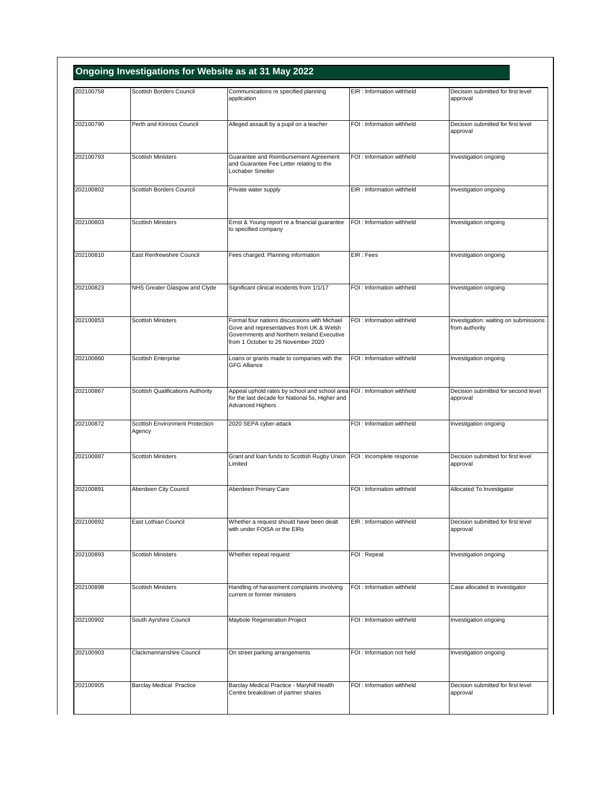| 202100758 | <b>Scottish Borders Council</b>           | Communications re specified planning                                                                                                                                         | EIR : Information withheld | Decision submitted for first level                      |
|-----------|-------------------------------------------|------------------------------------------------------------------------------------------------------------------------------------------------------------------------------|----------------------------|---------------------------------------------------------|
|           |                                           | application                                                                                                                                                                  |                            | approval                                                |
| 202100790 | Perth and Kinross Council                 | Alleged assault by a pupil on a teacher                                                                                                                                      | FOI : Information withheld | Decision submitted for first level<br>approval          |
| 202100793 | <b>Scottish Ministers</b>                 | Guarantee and Reimbursement Agreement<br>and Guarantee Fee Letter relating to the<br>Lochaber Smelter                                                                        | FOI: Information withheld  | Investigation ongoing                                   |
| 202100802 | Scottish Borders Council                  | Private water supply                                                                                                                                                         | EIR : Information withheld | Investigation ongoing                                   |
| 202100803 | <b>Scottish Ministers</b>                 | Ernst & Young report re a financial guarantee<br>to specified company                                                                                                        | FOI : Information withheld | Investigation ongoing                                   |
| 202100810 | East Renfrewshire Council                 | Fees charged: Planning information                                                                                                                                           | EIR: Fees                  | Investigation ongoing                                   |
| 202100823 | NHS Greater Glasgow and Clyde             | Significant clinical incidents from 1/1/17                                                                                                                                   | FOI : Information withheld | Investigation ongoing                                   |
| 202100853 | <b>Scottish Ministers</b>                 | Formal four nations discussions with Michael<br>Gove and representatives from UK & Welsh<br>Governments and Northern Ireland Executive<br>from 1 October to 26 November 2020 | FOI : Information withheld | Investigation: waiting on submissions<br>from authority |
| 202100860 | Scottish Enterprise                       | Loans or grants made to companies with the<br><b>GFG Alliance</b>                                                                                                            | FOI: Information withheld  | Investigation ongoing                                   |
| 202100867 | Scottish Qualifications Authority         | Appeal uphold rates by school and school area FOI : Information withheld<br>for the last decade for National 5s, Higher and<br>Advanced Highers                              |                            | Decision submitted for second level<br>approval         |
| 202100872 | Scottish Environment Protection<br>Agency | 2020 SEPA cyber-attack                                                                                                                                                       | FOI : Information withheld | Investigation ongoing                                   |
| 202100887 | <b>Scottish Ministers</b>                 | Grant and loan funds to Scottish Rugby Union<br>Limited                                                                                                                      | FOI : Incomplete response  | Decision submitted for first level<br>approval          |
| 202100891 | Aberdeen City Council                     | Aberdeen Primary Care                                                                                                                                                        | FOI: Information withheld  | Allocated To Investigator                               |
| 202100892 | East Lothian Council                      | Whether a request should have been dealt<br>with under FOISA or the EIRs                                                                                                     | EIR: Information withheld  | Decision submitted for first level<br>approval          |
| 202100893 | Scottish Ministers                        | Whether repeat request                                                                                                                                                       | FOI: Repeat                | Investigation ongoing                                   |
| 202100898 | Scottish Ministers                        | Handling of harassment complaints involving<br>current or former ministers                                                                                                   | FOI: Information withheld  | Case allocated to investigator                          |
| 202100902 | South Ayrshire Council                    | Maybole Regeneration Project                                                                                                                                                 | FOI : Information withheld | Investigation ongoing                                   |
| 202100903 | Clackmannanshire Council                  | On street parking arrangements                                                                                                                                               | FOI : Information not held | Investigation ongoing                                   |
| 202100905 | <b>Barclay Medical Practice</b>           | Barclay Medical Practice - Maryhill Health                                                                                                                                   | FOI: Information withheld  | Decision submitted for first level                      |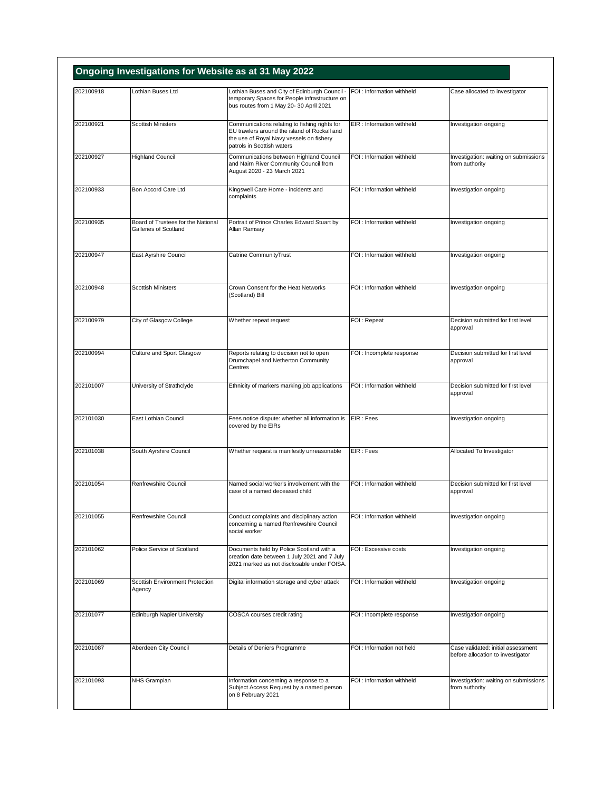| 202100918 | Lothian Buses Ltd                                           |                                                                                                                                                                         | FOI : Information withheld |                                                                         |
|-----------|-------------------------------------------------------------|-------------------------------------------------------------------------------------------------------------------------------------------------------------------------|----------------------------|-------------------------------------------------------------------------|
|           |                                                             | Lothian Buses and City of Edinburgh Council -<br>temporary Spaces for People infrastructure on<br>bus routes from 1 May 20-30 April 2021                                |                            | Case allocated to investigator                                          |
| 202100921 | <b>Scottish Ministers</b>                                   | Communications relating to fishing rights for<br>EU trawlers around the island of Rockall and<br>the use of Royal Navy vessels on fishery<br>patrols in Scottish waters | EIR : Information withheld | Investigation ongoing                                                   |
| 202100927 | <b>Highland Council</b>                                     | Communications between Highland Council<br>and Nairn River Community Council from<br>August 2020 - 23 March 2021                                                        | FOI : Information withheld | Investigation: waiting on submissions<br>from authority                 |
| 202100933 | Bon Accord Care Ltd                                         | Kingswell Care Home - incidents and<br>complaints                                                                                                                       | FOI : Information withheld | Investigation ongoing                                                   |
| 202100935 | Board of Trustees for the National<br>Galleries of Scotland | Portrait of Prince Charles Edward Stuart by<br>Allan Ramsay                                                                                                             | FOI : Information withheld | Investigation ongoing                                                   |
| 202100947 | East Ayrshire Council                                       | Catrine CommunityTrust                                                                                                                                                  | FOI: Information withheld  | Investigation ongoing                                                   |
| 202100948 | <b>Scottish Ministers</b>                                   | Crown Consent for the Heat Networks<br>(Scotland) Bill                                                                                                                  | FOI: Information withheld  | Investigation ongoing                                                   |
| 202100979 | City of Glasgow College                                     | Whether repeat request                                                                                                                                                  | FOI: Repeat                | Decision submitted for first level<br>approval                          |
| 202100994 | Culture and Sport Glasgow                                   | Reports relating to decision not to open<br>Drumchapel and Netherton Community<br>Centres                                                                               | FOI : Incomplete response  | Decision submitted for first level<br>approval                          |
| 202101007 | University of Strathclyde                                   | Ethnicity of markers marking job applications                                                                                                                           | FOI : Information withheld | Decision submitted for first level<br>approval                          |
| 202101030 | East Lothian Council                                        | Fees notice dispute: whether all information is<br>covered by the EIRs                                                                                                  | EIR : Fees                 | Investigation ongoing                                                   |
| 202101038 | South Ayrshire Council                                      | Whether request is manifestly unreasonable                                                                                                                              | EIR: Fees                  | Allocated To Investigator                                               |
| 202101054 | Renfrewshire Council                                        | Named social worker's involvement with the<br>case of a named deceased child                                                                                            | FOI: Information withheld  | Decision submitted for first level<br>approval                          |
| 202101055 | Renfrewshire Council                                        | Conduct complaints and disciplinary action<br>concerning a named Renfrewshire Council<br>social worker                                                                  | FOI: Information withheld  | Investigation ongoing                                                   |
| 202101062 | Police Service of Scotland                                  | Documents held by Police Scotland with a<br>creation date between 1 July 2021 and 7 July<br>2021 marked as not disclosable under FOISA.                                 | FOI : Excessive costs      | Investigation ongoing                                                   |
| 202101069 | Scottish Environment Protection<br>Agency                   | Digital information storage and cyber attack                                                                                                                            | FOI : Information withheld | Investigation ongoing                                                   |
| 202101077 | Edinburgh Napier University                                 | COSCA courses credit rating                                                                                                                                             | FOI : Incomplete response  | Investigation ongoing                                                   |
| 202101087 | Aberdeen City Council                                       | Details of Deniers Programme                                                                                                                                            | FOI: Information not held  | Case validated: initial assessment<br>before allocation to investigator |
| 202101093 | NHS Grampian                                                | Information concerning a response to a<br>Subject Access Request by a named person<br>on 8 February 2021                                                                | FOI: Information withheld  | Investigation: waiting on submissions<br>from authority                 |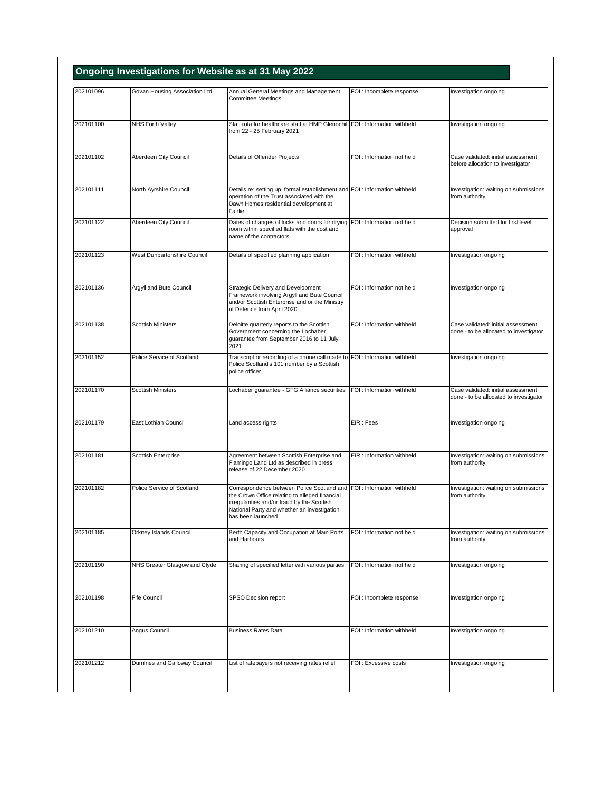| 202101096 | Govan Housing Association Ltd | Annual General Meetings and Management                                                                                                                                                                                                     | FOI : Incomplete response  | Investigation ongoing                                                        |
|-----------|-------------------------------|--------------------------------------------------------------------------------------------------------------------------------------------------------------------------------------------------------------------------------------------|----------------------------|------------------------------------------------------------------------------|
|           |                               | <b>Committee Meetings</b>                                                                                                                                                                                                                  |                            |                                                                              |
| 202101100 | NHS Forth Valley              | Staff rota for healthcare staff at HMP Glenochil FOI : Information withheld<br>from 22 - 25 February 2021                                                                                                                                  |                            | Investigation ongoing                                                        |
| 202101102 | Aberdeen City Council         | Details of Offender Projects                                                                                                                                                                                                               | FOI: Information not held  | Case validated: initial assessment<br>before allocation to investigator      |
| 202101111 | North Ayrshire Council        | Details re: setting up, formal establishment and FOI : Information withheld<br>operation of the Trust associated with the<br>Dawn Homes residential development at<br>Fairlie                                                              |                            | Investigation: waiting on submissions<br>from authority                      |
| 202101122 | Aberdeen City Council         | Dates of changes of locks and doors for drying FOI : Information not held<br>room within specified flats with the cost and<br>name of the contractors.                                                                                     |                            | Decision submitted for first level<br>approval                               |
| 202101123 | West Dunbartonshire Council   | Details of specified planning application                                                                                                                                                                                                  | FOI : Information withheld | Investigation ongoing                                                        |
| 202101136 | Argyll and Bute Council       | Strategic Delivery and Development<br>Framework involving Argyll and Bute Council<br>and/or Scottish Enterprise and or the Ministry<br>of Defence from April 2020                                                                          | FOI: Information not held  | Investigation ongoing                                                        |
| 202101138 | <b>Scottish Ministers</b>     | Deloitte quarterly reports to the Scottish<br>Government concerning the Lochaber<br>guarantee from September 2016 to 11 July<br>2021                                                                                                       | FOI: Information withheld  | Case validated: initial assessment<br>done - to be allocated to investigator |
| 202101152 | Police Service of Scotland    | Transcript or recording of a phone call made to FOI : Information withheld<br>Police Scotland's 101 number by a Scottish<br>police officer                                                                                                 |                            | Investigation ongoing                                                        |
| 202101170 | <b>Scottish Ministers</b>     | Lochaber guarantee - GFG Alliance securities                                                                                                                                                                                               | FOI : Information withheld | Case validated: initial assessment<br>done - to be allocated to investigator |
| 202101179 | East Lothian Council          | Land access rights                                                                                                                                                                                                                         | EIR: Fees                  | Investigation ongoing                                                        |
| 202101181 | Scottish Enterprise           | Agreement between Scottish Enterprise and<br>Flamingo Land Ltd as described in press<br>release of 22 December 2020                                                                                                                        | EIR: Information withheld  | Investigation: waiting on submissions<br>from authority                      |
| 202101182 | Police Service of Scotland    | Correspondence between Police Scotland and FOI : Information withheld<br>the Crown Office relating to alleged financial<br>irregularities and/or fraud by the Scottish<br>National Party and whether an investigation<br>has been launched |                            | Investigation: waiting on submissions<br>from authority                      |
| 202101185 | Orkney Islands Council        | Berth Capacity and Occupation at Main Ports<br>and Harbours                                                                                                                                                                                | FOI: Information not held  | Investigation: waiting on submissions<br>from authority                      |
| 202101190 | NHS Greater Glasgow and Clyde | Sharing of specified letter with various parties                                                                                                                                                                                           | FOI: Information not held  | Investigation ongoing                                                        |
| 202101198 | Fife Council                  | SPSO Decision report                                                                                                                                                                                                                       | FOI : Incomplete response  | Investigation ongoing                                                        |
| 202101210 | Angus Council                 | <b>Business Rates Data</b>                                                                                                                                                                                                                 | FOI : Information withheld | Investigation ongoing                                                        |
| 202101212 | Dumfries and Galloway Council | List of ratepayers not receiving rates relief                                                                                                                                                                                              | FOI: Excessive costs       | Investigation ongoing                                                        |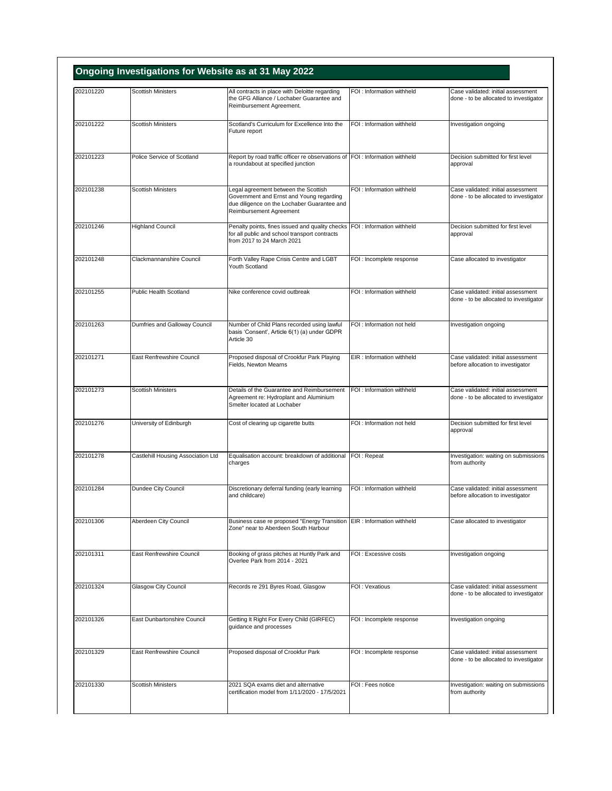| 202101220 | <b>Scottish Ministers</b>          | All contracts in place with Deloitte regarding                                                                                                             | FOI: Information withheld  | Case validated: initial assessment                                           |
|-----------|------------------------------------|------------------------------------------------------------------------------------------------------------------------------------------------------------|----------------------------|------------------------------------------------------------------------------|
|           |                                    | the GFG Alliance / Lochaber Guarantee and<br>Reimbursement Agreement.                                                                                      |                            | done - to be allocated to investigator                                       |
| 202101222 | <b>Scottish Ministers</b>          | Scotland's Curriculum for Excellence Into the<br>Future report                                                                                             | FOI: Information withheld  | Investigation ongoing                                                        |
| 202101223 | Police Service of Scotland         | Report by road traffic officer re observations of FOI : Information withheld<br>a roundabout at specified junction                                         |                            | Decision submitted for first level<br>approval                               |
| 202101238 | <b>Scottish Ministers</b>          | Legal agreement between the Scottish<br>Government and Ernst and Young regarding<br>due diligence on the Lochaber Guarantee and<br>Reimbursement Agreement | FOI : Information withheld | Case validated: initial assessment<br>done - to be allocated to investigator |
| 202101246 | <b>Highland Council</b>            | Penalty points, fines issued and quality checks FOI : Information withheld<br>for all public and school transport contracts<br>from 2017 to 24 March 2021  |                            | Decision submitted for first level<br>approval                               |
| 202101248 | Clackmannanshire Council           | Forth Valley Rape Crisis Centre and LGBT<br>Youth Scotland                                                                                                 | FOI : Incomplete response  | Case allocated to investigator                                               |
| 202101255 | Public Health Scotland             | Nike conference covid outbreak                                                                                                                             | FOI: Information withheld  | Case validated: initial assessment<br>done - to be allocated to investigator |
| 202101263 | Dumfries and Galloway Council      | Number of Child Plans recorded using lawful<br>basis 'Consent', Article 6(1) (a) under GDPR<br>Article 30                                                  | FOI: Information not held  | Investigation ongoing                                                        |
| 202101271 | East Renfrewshire Council          | Proposed disposal of Crookfur Park Playing<br>Fields, Newton Mearns                                                                                        | EIR: Information withheld  | Case validated: initial assessment<br>before allocation to investigator      |
| 202101273 | <b>Scottish Ministers</b>          | Details of the Guarantee and Reimbursement<br>Agreement re: Hydroplant and Aluminium<br>Smelter located at Lochaber                                        | FOI: Information withheld  | Case validated: initial assessment<br>done - to be allocated to investigator |
| 202101276 | University of Edinburgh            | Cost of clearing up cigarette butts                                                                                                                        | FOI : Information not held | Decision submitted for first level<br>approval                               |
| 202101278 | Castlehill Housing Association Ltd | Equalisation account: breakdown of additional FOI: Repeat<br>charges                                                                                       |                            | Investigation: waiting on submissions<br>from authority                      |
| 202101284 | Dundee City Council                | Discretionary deferral funding (early learning<br>and childcare)                                                                                           | FOI : Information withheld | Case validated: initial assessment<br>before allocation to investigator      |
| 202101306 | Aberdeen City Council              | Business case re proposed "Energy Transition EIR : Information withheld<br>Zone" near to Aberdeen South Harbour                                            |                            | Case allocated to investigator                                               |
| 202101311 | East Renfrewshire Council          | Booking of grass pitches at Huntly Park and<br>Overlee Park from 2014 - 2021                                                                               | FOI: Excessive costs       | Investigation ongoing                                                        |
| 202101324 | Glasgow City Council               | Records re 291 Byres Road, Glasgow                                                                                                                         | FOI: Vexatious             | Case validated: initial assessment<br>done - to be allocated to investigator |
| 202101326 | East Dunbartonshire Council        | Getting It Right For Every Child (GIRFEC)<br>guidance and processes                                                                                        | FOI : Incomplete response  | Investigation ongoing                                                        |
| 202101329 | East Renfrewshire Council          | Proposed disposal of Crookfur Park                                                                                                                         | FOI : Incomplete response  | Case validated: initial assessment<br>done - to be allocated to investigator |
| 202101330 | <b>Scottish Ministers</b>          | 2021 SQA exams diet and alternative<br>certification model from 1/11/2020 - 17/5/2021                                                                      | FOI : Fees notice          | Investigation: waiting on submissions<br>from authority                      |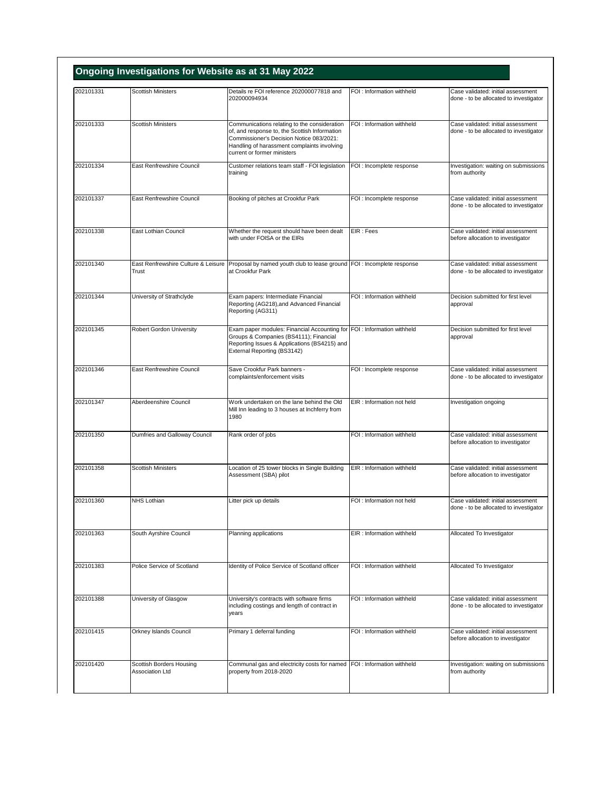| 202101331 | <b>Scottish Ministers</b>                    | Details re FOI reference 202000077818 and                                                                                                                                                                               | FOI: Information withheld  | Case validated: initial assessment                                           |
|-----------|----------------------------------------------|-------------------------------------------------------------------------------------------------------------------------------------------------------------------------------------------------------------------------|----------------------------|------------------------------------------------------------------------------|
|           |                                              | 202000094934                                                                                                                                                                                                            |                            | done - to be allocated to investigator                                       |
| 202101333 | <b>Scottish Ministers</b>                    | Communications relating to the consideration<br>of, and response to, the Scottish Information<br>Commissioner's Decision Notice 083/2021:<br>Handling of harassment complaints involving<br>current or former ministers | FOI: Information withheld  | Case validated: initial assessment<br>done - to be allocated to investigator |
| 202101334 | East Renfrewshire Council                    | Customer relations team staff - FOI legislation<br>training                                                                                                                                                             | FOI : Incomplete response  | Investigation: waiting on submissions<br>from authority                      |
| 202101337 | East Renfrewshire Council                    | Booking of pitches at Crookfur Park                                                                                                                                                                                     | FOI : Incomplete response  | Case validated: initial assessment<br>done - to be allocated to investigator |
| 202101338 | East Lothian Council                         | Whether the request should have been dealt<br>with under FOISA or the EIRs                                                                                                                                              | EIR: Fees                  | Case validated: initial assessment<br>before allocation to investigator      |
| 202101340 | East Renfrewshire Culture & Leisure<br>Trust | Proposal by named youth club to lease ground FOI : Incomplete response<br>at Crookfur Park                                                                                                                              |                            | Case validated: initial assessment<br>done - to be allocated to investigator |
| 202101344 | University of Strathclyde                    | Exam papers: Intermediate Financial<br>Reporting (AG218), and Advanced Financial<br>Reporting (AG311)                                                                                                                   | FOI: Information withheld  | Decision submitted for first level<br>approval                               |
| 202101345 | <b>Robert Gordon University</b>              | Exam paper modules: Financial Accounting for FOI : Information withheld<br>Groups & Companies (BS4111); Financial<br>Reporting Issues & Applications (BS4215) and<br>External Reporting (BS3142)                        |                            | Decision submitted for first level<br>approval                               |
| 202101346 | East Renfrewshire Council                    | Save Crookfur Park banners -<br>complaints/enforcement visits                                                                                                                                                           | FOI : Incomplete response  | Case validated: initial assessment<br>done - to be allocated to investigator |
| 202101347 | Aberdeenshire Council                        | Work undertaken on the lane behind the Old<br>Mill Inn leading to 3 houses at Inchferry from<br>1980                                                                                                                    | EIR : Information not held | Investigation ongoing                                                        |
| 202101350 | Dumfries and Galloway Council                | Rank order of jobs                                                                                                                                                                                                      | FOI : Information withheld | Case validated: initial assessment<br>before allocation to investigator      |
| 202101358 | <b>Scottish Ministers</b>                    | Location of 25 tower blocks in Single Building<br>Assessment (SBA) pilot                                                                                                                                                | EIR : Information withheld | Case validated: initial assessment<br>before allocation to investigator      |
| 202101360 | NHS Lothian                                  | Litter pick up details                                                                                                                                                                                                  | FOI: Information not held  | Case validated: initial assessment<br>done - to be allocated to investigator |
| 202101363 | South Ayrshire Council                       | Planning applications                                                                                                                                                                                                   | EIR: Information withheld  | Allocated To Investigator                                                    |
| 202101383 | Police Service of Scotland                   | Identity of Police Service of Scotland officer                                                                                                                                                                          | FOI : Information withheld | Allocated To Investigator                                                    |
| 202101388 | University of Glasgow                        | University's contracts with software firms<br>including costings and length of contract in<br>years                                                                                                                     | FOI: Information withheld  | Case validated: initial assessment<br>done - to be allocated to investigator |
| 202101415 | Orkney Islands Council                       | Primary 1 deferral funding                                                                                                                                                                                              | FOI : Information withheld | Case validated: initial assessment<br>before allocation to investigator      |
| 202101420 | Scottish Borders Housing<br>Association Ltd  | Communal gas and electricity costs for named FOI : Information withheld<br>property from 2018-2020                                                                                                                      |                            | Investigation: waiting on submissions<br>from authority                      |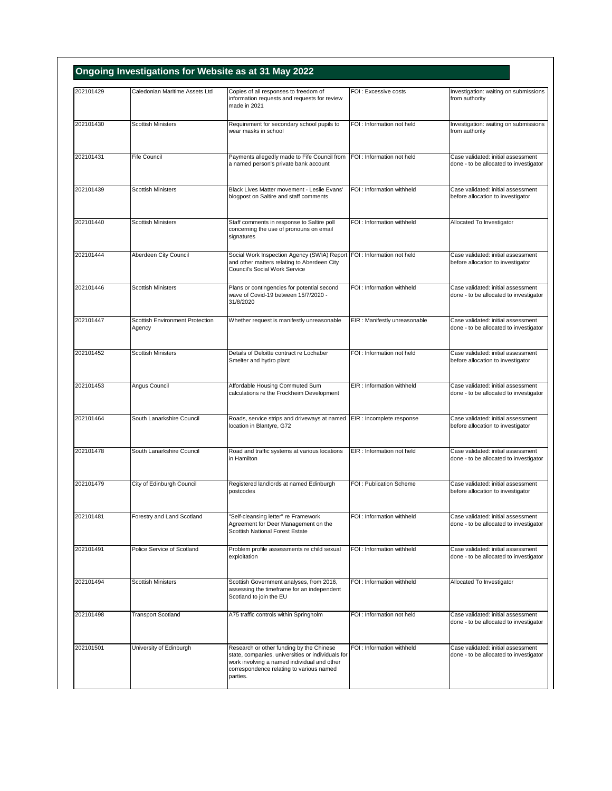| 202101429 | Caledonian Maritime Assets Ltd            | Copies of all responses to freedom of                                                                                                                                                    | FOI: Excessive costs          | Investigation: waiting on submissions                                        |
|-----------|-------------------------------------------|------------------------------------------------------------------------------------------------------------------------------------------------------------------------------------------|-------------------------------|------------------------------------------------------------------------------|
|           |                                           | information requests and requests for review<br>made in 2021                                                                                                                             |                               | from authority                                                               |
| 202101430 | <b>Scottish Ministers</b>                 | Requirement for secondary school pupils to<br>wear masks in school                                                                                                                       | FOI: Information not held     | Investigation: waiting on submissions<br>from authority                      |
| 202101431 | <b>Fife Council</b>                       | Payments allegedly made to Fife Council from<br>a named person's private bank account                                                                                                    | FOI : Information not held    | Case validated: initial assessment<br>done - to be allocated to investigator |
| 202101439 | <b>Scottish Ministers</b>                 | Black Lives Matter movement - Leslie Evans'<br>blogpost on Saltire and staff comments                                                                                                    | FOI : Information withheld    | Case validated: initial assessment<br>before allocation to investigator      |
| 202101440 | <b>Scottish Ministers</b>                 | Staff comments in response to Saltire poll<br>concerning the use of pronouns on email<br>signatures                                                                                      | FOI : Information withheld    | Allocated To Investigator                                                    |
| 202101444 | Aberdeen City Council                     | Social Work Inspection Agency (SWIA) Report FOI : Information not held<br>and other matters relating to Aberdeen City<br>Council's Social Work Service                                   |                               | Case validated: initial assessment<br>before allocation to investigator      |
| 202101446 | <b>Scottish Ministers</b>                 | Plans or contingencies for potential second<br>wave of Covid-19 between 15/7/2020 -<br>31/8/2020                                                                                         | FOI : Information withheld    | Case validated: initial assessment<br>done - to be allocated to investigator |
| 202101447 | Scottish Environment Protection<br>Agency | Whether request is manifestly unreasonable                                                                                                                                               | EIR : Manifestly unreasonable | Case validated: initial assessment<br>done - to be allocated to investigator |
| 202101452 | <b>Scottish Ministers</b>                 | Details of Deloitte contract re Lochaber<br>Smelter and hydro plant                                                                                                                      | FOI: Information not held     | Case validated: initial assessment<br>before allocation to investigator      |
| 202101453 | Angus Council                             | Affordable Housing Commuted Sum<br>calculations re the Frockheim Development                                                                                                             | EIR : Information withheld    | Case validated: initial assessment<br>done - to be allocated to investigator |
| 202101464 | South Lanarkshire Council                 | Roads, service strips and driveways at named<br>location in Blantyre, G72                                                                                                                | EIR : Incomplete response     | Case validated: initial assessment<br>before allocation to investigator      |
| 202101478 | South Lanarkshire Council                 | Road and traffic systems at various locations<br>in Hamilton                                                                                                                             | EIR : Information not held    | Case validated: initial assessment<br>done - to be allocated to investigator |
| 202101479 | City of Edinburgh Council                 | Registered landlords at named Edinburgh<br>postcodes                                                                                                                                     | FOI: Publication Scheme       | Case validated: initial assessment<br>before allocation to investigator      |
| 202101481 | Forestry and Land Scotland                | "Self-cleansing letter" re Framework<br>Agreement for Deer Management on the<br>Scottish National Forest Estate                                                                          | FOI : Information withheld    | Case validated: initial assessment<br>done - to be allocated to investigator |
| 202101491 | Police Service of Scotland                | Problem profile assessments re child sexual<br>exploitation                                                                                                                              | FOI : Information withheld    | Case validated: initial assessment<br>done - to be allocated to investigator |
| 202101494 | <b>Scottish Ministers</b>                 | Scottish Government analyses, from 2016,<br>assessing the timeframe for an independent<br>Scotland to join the EU                                                                        | FOI : Information withheld    | Allocated To Investigator                                                    |
| 202101498 | <b>Transport Scotland</b>                 | A75 traffic controls within Springholm                                                                                                                                                   | FOI : Information not held    | Case validated: initial assessment<br>done - to be allocated to investigator |
| 202101501 | University of Edinburgh                   | Research or other funding by the Chinese<br>state, companies, universities or individuals for<br>work involving a named individual and other<br>correspondence relating to various named | FOI : Information withheld    | Case validated: initial assessment<br>done - to be allocated to investigator |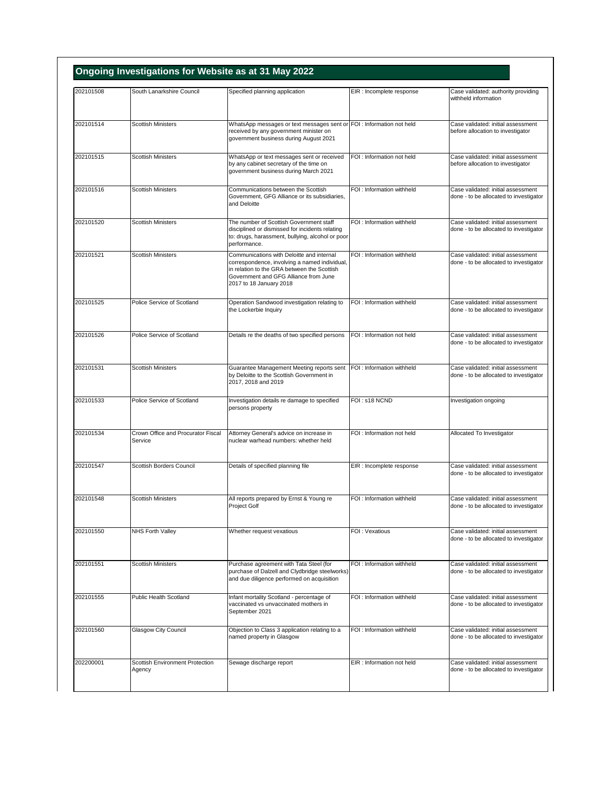| 202101508 | South Lanarkshire Council                     | Specified planning application                                                                                                                                                                                | EIR : Incomplete response  | Case validated: authority providing                                          |
|-----------|-----------------------------------------------|---------------------------------------------------------------------------------------------------------------------------------------------------------------------------------------------------------------|----------------------------|------------------------------------------------------------------------------|
|           |                                               |                                                                                                                                                                                                               |                            | withheld information                                                         |
| 202101514 | <b>Scottish Ministers</b>                     | WhatsApp messages or text messages sent or FOI : Information not held<br>received by any government minister on<br>government business during August 2021                                                     |                            | Case validated: initial assessment<br>before allocation to investigator      |
| 202101515 | <b>Scottish Ministers</b>                     | WhatsApp or text messages sent or received<br>by any cabinet secretary of the time on<br>government business during March 2021                                                                                | FOI: Information not held  | Case validated: initial assessment<br>before allocation to investigator      |
| 202101516 | <b>Scottish Ministers</b>                     | Communications between the Scottish<br>Government, GFG Alliance or its subsidiaries,<br>and Deloitte                                                                                                          | FOI: Information withheld  | Case validated: initial assessment<br>done - to be allocated to investigator |
| 202101520 | <b>Scottish Ministers</b>                     | The number of Scottish Government staff<br>disciplined or dismissed for incidents relating<br>to: drugs, harassment, bullying, alcohol or poor<br>performance.                                                | FOI : Information withheld | Case validated: initial assessment<br>done - to be allocated to investigator |
| 202101521 | <b>Scottish Ministers</b>                     | Communications with Deloitte and internal<br>correspondence, involving a named individual,<br>in relation to the GRA between the Scottish<br>Government and GFG Alliance from June<br>2017 to 18 January 2018 | FOI: Information withheld  | Case validated: initial assessment<br>done - to be allocated to investigator |
| 202101525 | Police Service of Scotland                    | Operation Sandwood investigation relating to<br>the Lockerbie Inquiry                                                                                                                                         | FOI : Information withheld | Case validated: initial assessment<br>done - to be allocated to investigator |
| 202101526 | Police Service of Scotland                    | Details re the deaths of two specified persons                                                                                                                                                                | FOI: Information not held  | Case validated: initial assessment<br>done - to be allocated to investigator |
| 202101531 | <b>Scottish Ministers</b>                     | Guarantee Management Meeting reports sent<br>by Deloitte to the Scottish Government in<br>2017, 2018 and 2019                                                                                                 | FOI: Information withheld  | Case validated: initial assessment<br>done - to be allocated to investigator |
| 202101533 | Police Service of Scotland                    | Investigation details re damage to specified<br>persons property                                                                                                                                              | FOI: s18 NCND              | Investigation ongoing                                                        |
| 202101534 | Crown Office and Procurator Fiscal<br>Service | Attorney General's advice on increase in<br>nuclear warhead numbers: whether held                                                                                                                             | FOI : Information not held | Allocated To Investigator                                                    |
| 202101547 | Scottish Borders Council                      | Details of specified planning file                                                                                                                                                                            | EIR : Incomplete response  | Case validated: initial assessment<br>done - to be allocated to investigator |
| 202101548 | <b>Scottish Ministers</b>                     | All reports prepared by Ernst & Young re<br>Project Golf                                                                                                                                                      | FOI: Information withheld  | Case validated: initial assessment<br>done - to be allocated to investigator |
| 202101550 | NHS Forth Valley                              | Whether request vexatious                                                                                                                                                                                     | FOI: Vexatious             | Case validated: initial assessment<br>done - to be allocated to investigator |
| 202101551 | <b>Scottish Ministers</b>                     | Purchase agreement with Tata Steel (for<br>purchase of Dalzell and Clydbridge steelworks)<br>and due diligence performed on acquisition                                                                       | FOI: Information withheld  | Case validated: initial assessment<br>done - to be allocated to investigator |
| 202101555 | Public Health Scotland                        | Infant mortality Scotland - percentage of<br>vaccinated vs unvaccinated mothers in<br>September 2021                                                                                                          | FOI : Information withheld | Case validated: initial assessment<br>done - to be allocated to investigator |
| 202101560 | <b>Glasgow City Council</b>                   | Objection to Class 3 application relating to a<br>named property in Glasgow                                                                                                                                   | FOI : Information withheld | Case validated: initial assessment<br>done - to be allocated to investigator |
| 202200001 | Scottish Environment Protection<br>Agency     | Sewage discharge report                                                                                                                                                                                       | EIR : Information not held | Case validated: initial assessment<br>done - to be allocated to investigator |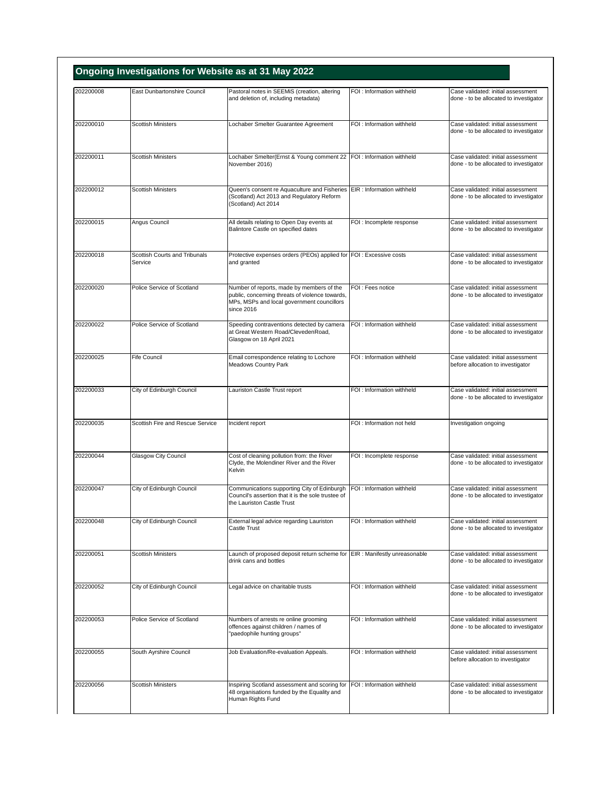| 202200008 | East Dunbartonshire Council              | Pastoral notes in SEEMiS (creation, altering                                                                                                             | FOI : Information withheld | Case validated: initial assessment                                           |
|-----------|------------------------------------------|----------------------------------------------------------------------------------------------------------------------------------------------------------|----------------------------|------------------------------------------------------------------------------|
|           |                                          | and deletion of, including metadata)                                                                                                                     |                            | done - to be allocated to investigator                                       |
| 202200010 | Scottish Ministers                       | Lochaber Smelter Guarantee Agreement                                                                                                                     | FOI : Information withheld | Case validated: initial assessment<br>done - to be allocated to investigator |
| 202200011 | <b>Scottish Ministers</b>                | Lochaber Smelter(Ernst & Young comment 22 FOI : Information withheld<br>November 2016)                                                                   |                            | Case validated: initial assessment<br>done - to be allocated to investigator |
| 202200012 | <b>Scottish Ministers</b>                | Queen's consent re Aquaculture and Fisheries EIR : Information withheld<br>(Scotland) Act 2013 and Regulatory Reform<br>(Scotland) Act 2014              |                            | Case validated: initial assessment<br>done - to be allocated to investigator |
| 202200015 | Angus Council                            | All details relating to Open Day events at<br>Balintore Castle on specified dates                                                                        | FOI : Incomplete response  | Case validated: initial assessment<br>done - to be allocated to investigator |
| 202200018 | Scottish Courts and Tribunals<br>Service | Protective expenses orders (PEOs) applied for FOI: Excessive costs<br>and granted                                                                        |                            | Case validated: initial assessment<br>done - to be allocated to investigator |
| 202200020 | Police Service of Scotland               | Number of reports, made by members of the<br>public, concerning threats of violence towards,<br>MPs, MSPs and local government councillors<br>since 2016 | FOI: Fees notice           | Case validated: initial assessment<br>done - to be allocated to investigator |
| 202200022 | Police Service of Scotland               | Speeding contraventions detected by camera<br>at Great Western Road/ClevedenRoad,<br>Glasgow on 18 April 2021                                            | FOI : Information withheld | Case validated: initial assessment<br>done - to be allocated to investigator |
| 202200025 | <b>Fife Council</b>                      | Email correspondence relating to Lochore<br>Meadows Country Park                                                                                         | FOI: Information withheld  | Case validated: initial assessment<br>before allocation to investigator      |
| 202200033 | City of Edinburgh Council                | Lauriston Castle Trust report                                                                                                                            | FOI: Information withheld  | Case validated: initial assessment<br>done - to be allocated to investigator |
| 202200035 | Scottish Fire and Rescue Service         | Incident report                                                                                                                                          | FOI: Information not held  | Investigation ongoing                                                        |
| 202200044 | <b>Glasgow City Council</b>              | Cost of cleaning pollution from: the River<br>Clyde, the Molendiner River and the River<br>Kelvin                                                        | FOI : Incomplete response  | Case validated: initial assessment<br>done - to be allocated to investigator |
| 202200047 | City of Edinburgh Council                | Communications supporting City of Edinburgh<br>Council's assertion that it is the sole trustee of<br>the Lauriston Castle Trust                          | FOI: Information withheld  | Case validated: initial assessment<br>done - to be allocated to investigator |
| 202200048 | City of Edinburgh Council                | External legal advice regarding Lauriston<br>Castle Trust                                                                                                | FOI: Information withheld  | Case validated: initial assessment<br>done - to be allocated to investigator |
| 202200051 | <b>Scottish Ministers</b>                | Launch of proposed deposit return scheme for EIR : Manifestly unreasonable<br>drink cans and bottles                                                     |                            | Case validated: initial assessment<br>done - to be allocated to investigator |
| 202200052 | City of Edinburgh Council                | Legal advice on charitable trusts                                                                                                                        | FOI: Information withheld  | Case validated: initial assessment<br>done - to be allocated to investigator |
| 202200053 | Police Service of Scotland               | Numbers of arrests re online grooming<br>offences against children / names of<br>"paedophile hunting groups"                                             | FOI: Information withheld  | Case validated: initial assessment<br>done - to be allocated to investigator |
| 202200055 | South Ayrshire Council                   | Job Evaluation/Re-evaluation Appeals.                                                                                                                    | FOI : Information withheld | Case validated: initial assessment<br>before allocation to investigator      |
| 202200056 | <b>Scottish Ministers</b>                | Inspiring Scotland assessment and scoring for                                                                                                            | FOI : Information withheld | Case validated: initial assessment                                           |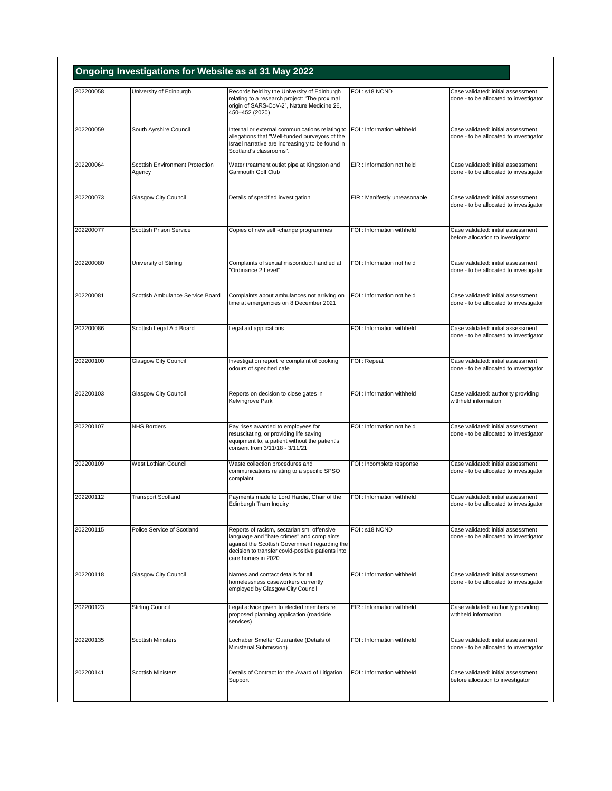| 202200058 | University of Edinburgh                   | Records held by the University of Edinburgh                                                                                                                                                                         | FOI: s18 NCND                 | Case validated: initial assessment                                           |
|-----------|-------------------------------------------|---------------------------------------------------------------------------------------------------------------------------------------------------------------------------------------------------------------------|-------------------------------|------------------------------------------------------------------------------|
|           |                                           | relating to a research project: "The proximal<br>origin of SARS-CoV-2", Nature Medicine 26,<br>450-452 (2020)                                                                                                       |                               | done - to be allocated to investigator                                       |
| 202200059 | South Ayrshire Council                    | Internal or external communications relating to<br>allegations that "Well-funded purveyors of the<br>Israel narrative are increasingly to be found in<br>Scotland's classrooms".                                    | FOI: Information withheld     | Case validated: initial assessment<br>done - to be allocated to investigator |
| 202200064 | Scottish Environment Protection<br>Agency | Water treatment outlet pipe at Kingston and<br>Garmouth Golf Club                                                                                                                                                   | EIR: Information not held     | Case validated: initial assessment<br>done - to be allocated to investigator |
| 202200073 | <b>Glasgow City Council</b>               | Details of specified investigation                                                                                                                                                                                  | EIR : Manifestly unreasonable | Case validated: initial assessment<br>done - to be allocated to investigator |
| 202200077 | <b>Scottish Prison Service</b>            | Copies of new self -change programmes                                                                                                                                                                               | FOI: Information withheld     | Case validated: initial assessment<br>before allocation to investigator      |
| 202200080 | University of Stirling                    | Complaints of sexual misconduct handled at<br>'Ordinance 2 Level"                                                                                                                                                   | FOI: Information not held     | Case validated: initial assessment<br>done - to be allocated to investigator |
| 202200081 | Scottish Ambulance Service Board          | Complaints about ambulances not arriving on<br>time at emergencies on 8 December 2021                                                                                                                               | FOI : Information not held    | Case validated: initial assessment<br>done - to be allocated to investigator |
| 202200086 | Scottish Legal Aid Board                  | Legal aid applications                                                                                                                                                                                              | FOI : Information withheld    | Case validated: initial assessment<br>done - to be allocated to investigator |
| 202200100 | Glasgow City Council                      | Investigation report re complaint of cooking<br>odours of specified cafe                                                                                                                                            | FOI: Repeat                   | Case validated: initial assessment<br>done - to be allocated to investigator |
| 202200103 | <b>Glasgow City Council</b>               | Reports on decision to close gates in<br>Kelvingrove Park                                                                                                                                                           | FOI : Information withheld    | Case validated: authority providing<br>withheld information                  |
| 202200107 | <b>NHS Borders</b>                        | Pay rises awarded to employees for<br>resuscitating, or providing life saving<br>equipment to, a patient without the patient's<br>consent from 3/11/18 - 3/11/21                                                    | FOI: Information not held     | Case validated: initial assessment<br>done - to be allocated to investigator |
| 202200109 | West Lothian Council                      | Waste collection procedures and<br>communications relating to a specific SPSO<br>complaint                                                                                                                          | FOI : Incomplete response     | Case validated: initial assessment<br>done - to be allocated to investigator |
| 202200112 | <b>Transport Scotland</b>                 | Payments made to Lord Hardie, Chair of the<br>Edinburgh Tram Inquiry                                                                                                                                                | FOI: Information withheld     | Case validated: initial assessment<br>done - to be allocated to investigator |
| 202200115 | Police Service of Scotland                | Reports of racism, sectarianism, offensive<br>language and "hate crimes" and complaints<br>against the Scottish Government regarding the<br>decision to transfer covid-positive patients into<br>care homes in 2020 | FOI: s18 NCND                 | Case validated: initial assessment<br>done - to be allocated to investigator |
| 202200118 | <b>Glasgow City Council</b>               | Names and contact details for all<br>homelessness caseworkers currently<br>employed by Glasgow City Council                                                                                                         | FOI : Information withheld    | Case validated: initial assessment<br>done - to be allocated to investigator |
| 202200123 | <b>Stirling Council</b>                   | Legal advice given to elected members re<br>proposed planning application (roadside<br>services)                                                                                                                    | EIR : Information withheld    | Case validated: authority providing<br>withheld information                  |
| 202200135 | <b>Scottish Ministers</b>                 | Lochaber Smelter Guarantee (Details of<br>Ministerial Submission)                                                                                                                                                   | FOI: Information withheld     | Case validated: initial assessment<br>done - to be allocated to investigator |
| 202200141 | <b>Scottish Ministers</b>                 | Details of Contract for the Award of Litigation<br>Support                                                                                                                                                          | FOI : Information withheld    | Case validated: initial assessment<br>before allocation to investigator      |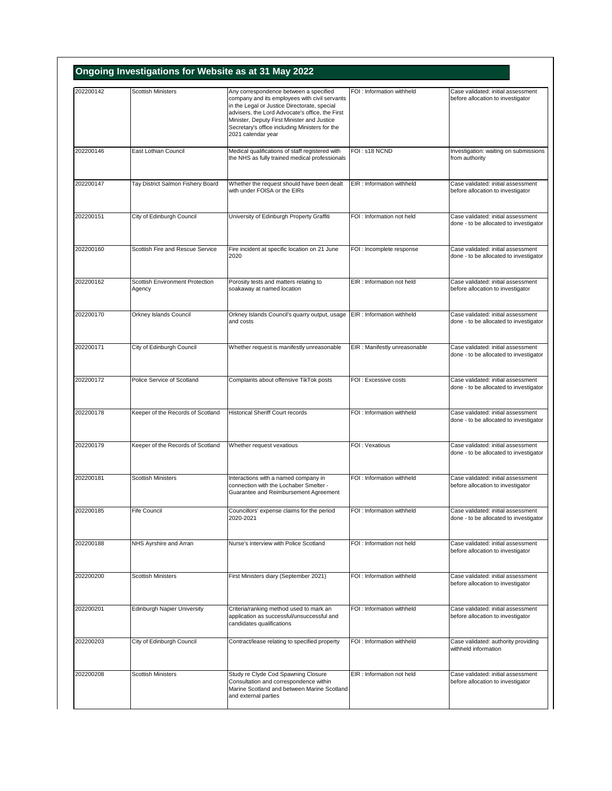| 202200142 | <b>Scottish Ministers</b>          | Any correspondence between a specified                                                                                                                                                                                                                                  | FOI: Information withheld     | Case validated: initial assessment                                           |
|-----------|------------------------------------|-------------------------------------------------------------------------------------------------------------------------------------------------------------------------------------------------------------------------------------------------------------------------|-------------------------------|------------------------------------------------------------------------------|
|           |                                    | company and its employees with civil servants<br>in the Legal or Justice Directorate, special<br>advisers, the Lord Advocate's office, the First<br>Minister, Deputy First Minister and Justice<br>Secretary's office including Ministers for the<br>2021 calendar year |                               | before allocation to investigator                                            |
| 202200146 | East Lothian Council               | Medical qualifications of staff registered with<br>the NHS as fully trained medical professionals                                                                                                                                                                       | FOI: s18 NCND                 | Investigation: waiting on submissions<br>from authority                      |
| 202200147 | Tay District Salmon Fishery Board  | Whether the request should have been dealt<br>with under FOISA or the EIRs                                                                                                                                                                                              | EIR: Information withheld     | Case validated: initial assessment<br>before allocation to investigator      |
| 202200151 | City of Edinburgh Council          | University of Edinburgh Property Graffiti                                                                                                                                                                                                                               | FOI: Information not held     | Case validated: initial assessment<br>done - to be allocated to investigator |
| 202200160 | Scottish Fire and Rescue Service   | Fire incident at specific location on 21 June<br>2020                                                                                                                                                                                                                   | FOI : Incomplete response     | Case validated: initial assessment<br>done - to be allocated to investigator |
| 202200162 | Scottish Environment Protection    | Porosity tests and matters relating to                                                                                                                                                                                                                                  | EIR: Information not held     | Case validated: initial assessment                                           |
|           | Agency                             | soakaway at named location                                                                                                                                                                                                                                              |                               | before allocation to investigator                                            |
| 202200170 | <b>Orkney Islands Council</b>      | Orkney Islands Council's quarry output, usage<br>and costs                                                                                                                                                                                                              | EIR : Information withheld    | Case validated: initial assessment<br>done - to be allocated to investigator |
| 202200171 | City of Edinburgh Council          | Whether request is manifestly unreasonable                                                                                                                                                                                                                              | EIR : Manifestly unreasonable | Case validated: initial assessment<br>done - to be allocated to investigator |
| 202200172 | Police Service of Scotland         | Complaints about offensive TikTok posts                                                                                                                                                                                                                                 | FOI: Excessive costs          | Case validated: initial assessment<br>done - to be allocated to investigator |
| 202200178 | Keeper of the Records of Scotland  | <b>Historical Sheriff Court records</b>                                                                                                                                                                                                                                 | FOI : Information withheld    | Case validated: initial assessment<br>done - to be allocated to investigator |
| 202200179 | Keeper of the Records of Scotland  | Whether request vexatious                                                                                                                                                                                                                                               | FOI: Vexatious                | Case validated: initial assessment<br>done - to be allocated to investigator |
| 202200181 | <b>Scottish Ministers</b>          | Interactions with a named company in<br>connection with the Lochaber Smelter -<br>Guarantee and Reimbursement Agreement                                                                                                                                                 | FOI : Information withheld    | Case validated: initial assessment<br>before allocation to investigator      |
| 202200185 | Hite Council                       | Councillors' expense claims for the period<br>2020-2021                                                                                                                                                                                                                 | FOI : Information withheld    | Case validated: initial assessment<br>done - to be allocated to investigator |
| 202200188 | NHS Ayrshire and Arran             | Nurse's interview with Police Scotland                                                                                                                                                                                                                                  | FOI : Information not held    | Case validated: initial assessment<br>before allocation to investigator      |
| 202200200 | <b>Scottish Ministers</b>          | First Ministers diary (September 2021)                                                                                                                                                                                                                                  | FOI: Information withheld     | Case validated: initial assessment<br>before allocation to investigator      |
| 202200201 | <b>Edinburgh Napier University</b> | Criteria/ranking method used to mark an<br>application as successful/unsuccessful and<br>candidates qualifications                                                                                                                                                      | FOI : Information withheld    | Case validated: initial assessment<br>before allocation to investigator      |
| 202200203 | City of Edinburgh Council          | Contract/lease relating to specified property                                                                                                                                                                                                                           | FOI: Information withheld     | Case validated: authority providing<br>withheld information                  |
| 202200208 | <b>Scottish Ministers</b>          | Study re Clyde Cod Spawning Closure<br>Consultation and correspondence within<br>Marine Scotland and between Marine Scotland                                                                                                                                            | EIR: Information not held     | Case validated: initial assessment<br>before allocation to investigator      |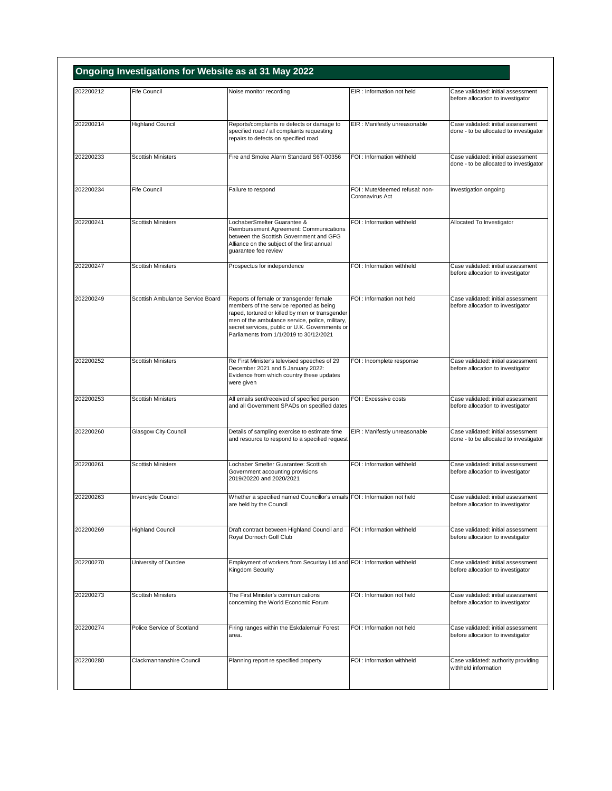| 202200212 | Fife Council                     | Noise monitor recording                                                                                                                                                                                                                                                                | EIR: Information not held                          | Case validated: initial assessment                                           |
|-----------|----------------------------------|----------------------------------------------------------------------------------------------------------------------------------------------------------------------------------------------------------------------------------------------------------------------------------------|----------------------------------------------------|------------------------------------------------------------------------------|
|           |                                  |                                                                                                                                                                                                                                                                                        |                                                    | before allocation to investigator                                            |
| 202200214 | <b>Highland Council</b>          | Reports/complaints re defects or damage to<br>specified road / all complaints requesting<br>repairs to defects on specified road                                                                                                                                                       | EIR : Manifestly unreasonable                      | Case validated: initial assessment<br>done - to be allocated to investigator |
| 202200233 | <b>Scottish Ministers</b>        | Fire and Smoke Alarm Standard S6T-00356                                                                                                                                                                                                                                                | FOI: Information withheld                          | Case validated: initial assessment<br>done - to be allocated to investigator |
| 202200234 | <b>Fife Council</b>              | Failure to respond                                                                                                                                                                                                                                                                     | FOI : Mute/deemed refusal: non-<br>Coronavirus Act | Investigation ongoing                                                        |
| 202200241 | <b>Scottish Ministers</b>        | LochaberSmelter Guarantee &<br>Reimbursement Agreement: Communications<br>between the Scottish Government and GFG<br>Alliance on the subject of the first annual<br>quarantee fee review                                                                                               | FOI: Information withheld                          | Allocated To Investigator                                                    |
| 202200247 | <b>Scottish Ministers</b>        | Prospectus for independence                                                                                                                                                                                                                                                            | FOI: Information withheld                          | Case validated: initial assessment<br>before allocation to investigator      |
| 202200249 | Scottish Ambulance Service Board | Reports of female or transgender female<br>members of the service reported as being<br>raped, tortured or killed by men or transgender<br>men of the ambulance service, police, military,<br>secret services, public or U.K. Governments or<br>Parliaments from 1/1/2019 to 30/12/2021 | FOI: Information not held                          | Case validated: initial assessment<br>before allocation to investigator      |
| 202200252 | <b>Scottish Ministers</b>        | Re First Minister's televised speeches of 29<br>December 2021 and 5 January 2022:<br>Evidence from which country these updates<br>were given                                                                                                                                           | FOI : Incomplete response                          | Case validated: initial assessment<br>before allocation to investigator      |
| 202200253 | <b>Scottish Ministers</b>        | All emails sent/received of specified person<br>and all Government SPADs on specified dates                                                                                                                                                                                            | FOI: Excessive costs                               | Case validated: initial assessment<br>before allocation to investigator      |
| 202200260 | <b>Glasgow City Council</b>      | Details of sampling exercise to estimate time<br>and resource to respond to a specified request                                                                                                                                                                                        | EIR : Manifestly unreasonable                      | Case validated: initial assessment<br>done - to be allocated to investigator |
| 202200261 | <b>Scottish Ministers</b>        | Lochaber Smelter Guarantee: Scottish<br>Government accounting provisions<br>2019/20220 and 2020/2021                                                                                                                                                                                   | FOI: Information withheld                          | Case validated: initial assessment<br>before allocation to investigator      |
| 202200263 | Inverclyde Council               | Whether a specified named Councillor's emails FOI : Information not held<br>are held by the Council                                                                                                                                                                                    |                                                    | Case validated: initial assessment<br>before allocation to investigator      |
| 202200269 | <b>Highland Council</b>          | Draft contract between Highland Council and<br>Royal Dornoch Golf Club                                                                                                                                                                                                                 | FOI: Information withheld                          | Case validated: initial assessment<br>before allocation to investigator      |
| 202200270 | University of Dundee             | Employment of workers from Securitay Ltd and FOI : Information withheld<br>Kingdom Security                                                                                                                                                                                            |                                                    | Case validated: initial assessment<br>before allocation to investigator      |
| 202200273 | <b>Scottish Ministers</b>        | The First Minister's communications<br>concerning the World Economic Forum                                                                                                                                                                                                             | FOI: Information not held                          | Case validated: initial assessment<br>before allocation to investigator      |
| 202200274 | Police Service of Scotland       | Firing ranges within the Eskdalemuir Forest<br>area.                                                                                                                                                                                                                                   | FOI: Information not held                          | Case validated: initial assessment<br>before allocation to investigator      |
| 202200280 | Clackmannanshire Council         | Planning report re specified property                                                                                                                                                                                                                                                  | FOI: Information withheld                          | Case validated: authority providing<br>withheld information                  |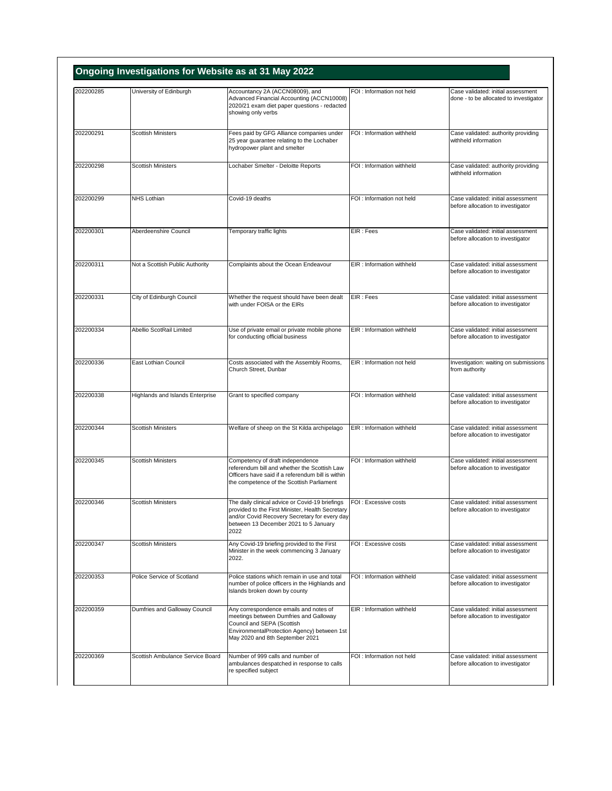| 202200285 | University of Edinburgh          | Accountancy 2A (ACCN08009), and<br>Advanced Financial Accounting (ACCN10008)<br>2020/21 exam diet paper questions - redacted<br>showing only verbs                                                    | FOI: Information not held  | Case validated: initial assessment<br>done - to be allocated to investigator |
|-----------|----------------------------------|-------------------------------------------------------------------------------------------------------------------------------------------------------------------------------------------------------|----------------------------|------------------------------------------------------------------------------|
| 202200291 | <b>Scottish Ministers</b>        | Fees paid by GFG Alliance companies under<br>25 year guarantee relating to the Lochaber<br>hydropower plant and smelter                                                                               | FOI: Information withheld  | Case validated: authority providing<br>withheld information                  |
| 202200298 | <b>Scottish Ministers</b>        | Lochaber Smelter - Deloitte Reports                                                                                                                                                                   | FOI : Information withheld | Case validated: authority providing<br>withheld information                  |
| 202200299 | NHS Lothian                      | Covid-19 deaths                                                                                                                                                                                       | FOI: Information not held  | Case validated: initial assessment<br>before allocation to investigator      |
| 202200301 | Aberdeenshire Council            | Temporary traffic lights                                                                                                                                                                              | EIR: Fees                  | Case validated: initial assessment<br>before allocation to investigator      |
| 202200311 | Not a Scottish Public Authority  | Complaints about the Ocean Endeavour                                                                                                                                                                  | EIR: Information withheld  | Case validated: initial assessment<br>before allocation to investigator      |
| 202200331 | City of Edinburgh Council        | Whether the request should have been dealt<br>with under FOISA or the EIRs                                                                                                                            | EIR: Fees                  | Case validated: initial assessment<br>before allocation to investigator      |
| 202200334 | Abellio ScotRail Limited         | Use of private email or private mobile phone<br>for conducting official business                                                                                                                      | EIR: Information withheld  | Case validated: initial assessment<br>before allocation to investigator      |
| 202200336 | East Lothian Council             | Costs associated with the Assembly Rooms,<br>Church Street, Dunbar                                                                                                                                    | EIR : Information not held | Investigation: waiting on submissions<br>from authority                      |
| 202200338 | Highlands and Islands Enterprise | Grant to specified company                                                                                                                                                                            | FOI : Information withheld | Case validated: initial assessment<br>before allocation to investigator      |
| 202200344 | <b>Scottish Ministers</b>        | Welfare of sheep on the St Kilda archipelago                                                                                                                                                          | EIR: Information withheld  | Case validated: initial assessment<br>before allocation to investigator      |
| 202200345 | <b>Scottish Ministers</b>        | Competency of draft independence<br>referendum bill and whether the Scottish Law<br>Officers have said if a referendum bill is within<br>the competence of the Scottish Parliament                    | FOI : Information withheld | Case validated: initial assessment<br>before allocation to investigator      |
| 202200346 | <b>Scottish Ministers</b>        | The daily clinical advice or Covid-19 briefings<br>provided to the First Minister, Health Secretary<br>and/or Covid Recovery Secretary for every day<br>between 13 December 2021 to 5 January<br>2022 | FOI: Excessive costs       | Case validated: initial assessment<br>before allocation to investigator      |
| 202200347 | <b>Scottish Ministers</b>        | Any Covid-19 briefing provided to the First<br>Minister in the week commencing 3 January<br>2022.                                                                                                     | FOI : Excessive costs      | Case validated: initial assessment<br>before allocation to investigator      |
| 202200353 | Police Service of Scotland       | Police stations which remain in use and total<br>number of police officers in the Highlands and<br>Islands broken down by county                                                                      | FOI: Information withheld  | Case validated: initial assessment<br>before allocation to investigator      |
| 202200359 | Dumfries and Galloway Council    | Any correspondence emails and notes of<br>meetings between Dumfries and Galloway<br>Council and SEPA (Scottish<br>EnvironmentalProtection Agency) between 1st<br>May 2020 and 8th September 2021      | EIR : Information withheld | Case validated: initial assessment<br>before allocation to investigator      |
| 202200369 | Scottish Ambulance Service Board | Number of 999 calls and number of<br>ambulances despatched in response to calls<br>re specified subject                                                                                               | FOI : Information not held | Case validated: initial assessment<br>before allocation to investigator      |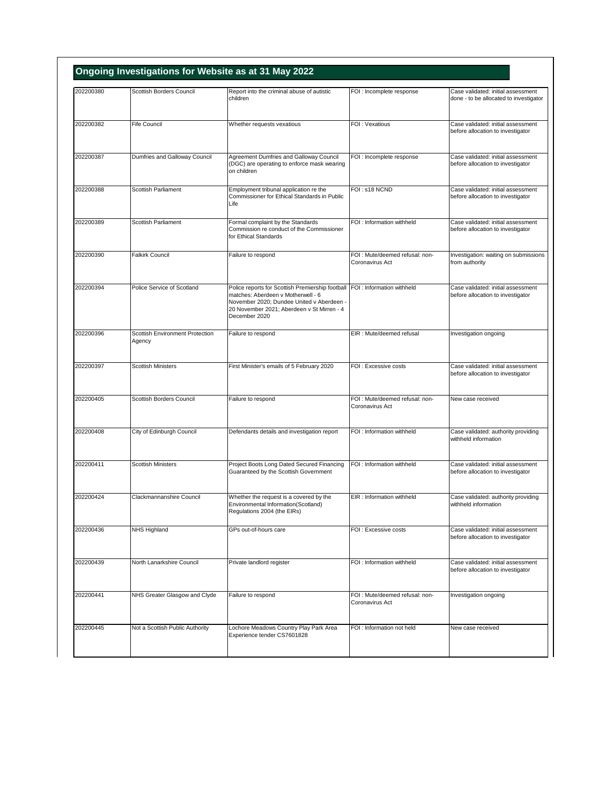| 202200380 | Scottish Borders Council                  | Report into the criminal abuse of autistic                                                                                                                                                                                    | FOI : Incomplete response                          | Case validated: initial assessment                                      |
|-----------|-------------------------------------------|-------------------------------------------------------------------------------------------------------------------------------------------------------------------------------------------------------------------------------|----------------------------------------------------|-------------------------------------------------------------------------|
|           |                                           | children                                                                                                                                                                                                                      |                                                    | done - to be allocated to investigator                                  |
| 202200382 | <b>Fife Council</b>                       | Whether requests vexatious                                                                                                                                                                                                    | FOI: Vexatious                                     | Case validated: initial assessment<br>before allocation to investigator |
| 202200387 | Dumfries and Galloway Council             | Agreement Dumfries and Galloway Council<br>(DGC) are operating to enforce mask wearing<br>on children                                                                                                                         | FOI : Incomplete response                          | Case validated: initial assessment<br>before allocation to investigator |
| 202200388 | Scottish Parliament                       | Employment tribunal application re the<br>Commissioner for Ethical Standards in Public<br>Life                                                                                                                                | FOI: s18 NCND                                      | Case validated: initial assessment<br>before allocation to investigator |
| 202200389 | Scottish Parliament                       | Formal complaint by the Standards<br>Commission re conduct of the Commissioner<br>for Ethical Standards                                                                                                                       | FOI : Information withheld                         | Case validated: initial assessment<br>before allocation to investigator |
| 202200390 | <b>Falkirk Council</b>                    | Failure to respond                                                                                                                                                                                                            | FOI : Mute/deemed refusal: non-<br>Coronavirus Act | Investigation: waiting on submissions<br>from authority                 |
| 202200394 | Police Service of Scotland                | Police reports for Scottish Premiership football FOI : Information withheld<br>matches: Aberdeen v Motherwell - 6<br>November 2020; Dundee United v Aberdeen -<br>20 November 2021; Aberdeen v St Mirren - 4<br>December 2020 |                                                    | Case validated: initial assessment<br>before allocation to investigator |
| 202200396 | Scottish Environment Protection<br>Agency | Failure to respond                                                                                                                                                                                                            | EIR : Mute/deemed refusal                          | Investigation ongoing                                                   |
| 202200397 | <b>Scottish Ministers</b>                 | First Minister's emails of 5 February 2020                                                                                                                                                                                    | FOI : Excessive costs                              | Case validated: initial assessment<br>before allocation to investigator |
| 202200405 | Scottish Borders Council                  | Failure to respond                                                                                                                                                                                                            | FOI : Mute/deemed refusal: non-<br>Coronavirus Act | New case received                                                       |
| 202200408 | City of Edinburgh Council                 | Defendants details and investigation report                                                                                                                                                                                   | FOI : Information withheld                         | Case validated: authority providing<br>withheld information             |
| 202200411 | <b>Scottish Ministers</b>                 | Project Boots Long Dated Secured Financing<br>Guaranteed by the Scottish Government                                                                                                                                           | FOI: Information withheld                          | Case validated: initial assessment<br>before allocation to investigator |
| 202200424 | Clackmannanshire Council                  | Whether the request is a covered by the<br>Environmental Information(Scotland)<br>Regulations 2004 (the EIRs)                                                                                                                 | EIR : Information withheld                         | Case validated: authority providing<br>withheld information             |
| 202200436 | NHS Highland                              | GPs out-of-hours care                                                                                                                                                                                                         | FOI: Excessive costs                               | Case validated: initial assessment<br>before allocation to investigator |
| 202200439 | North Lanarkshire Council                 | Private landlord register                                                                                                                                                                                                     | FOI: Information withheld                          | Case validated: initial assessment<br>before allocation to investigator |
| 202200441 | NHS Greater Glasgow and Clyde             | Failure to respond                                                                                                                                                                                                            | FOI: Mute/deemed refusal: non-<br>Coronavirus Act  | Investigation ongoing                                                   |
| 202200445 | Not a Scottish Public Authority           | Lochore Meadows Country Play Park Area                                                                                                                                                                                        | FOI: Information not held                          | New case received                                                       |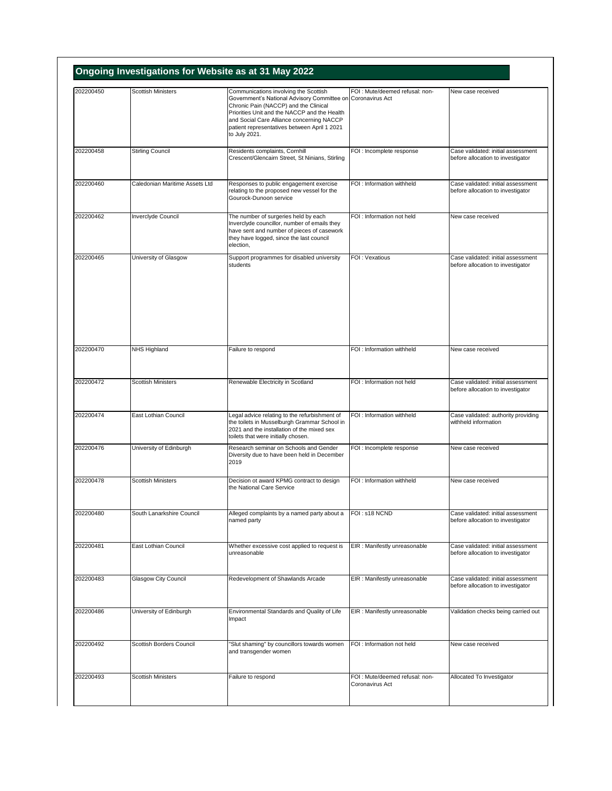| 202200450 | <b>Scottish Ministers</b>      | Communications involving the Scottish                                                                                                                                                                                                                              | FOI: Mute/deemed refusal: non-                     | New case received                                                       |
|-----------|--------------------------------|--------------------------------------------------------------------------------------------------------------------------------------------------------------------------------------------------------------------------------------------------------------------|----------------------------------------------------|-------------------------------------------------------------------------|
|           |                                | Government's National Advisory Committee on Coronavirus Act<br>Chronic Pain (NACCP) and the Clinical<br>Priorities Unit and the NACCP and the Health<br>and Social Care Alliance concerning NACCP<br>patient representatives between April 1 2021<br>to July 2021. |                                                    |                                                                         |
| 202200458 | <b>Stirling Council</b>        | Residents complaints, Cornhill<br>Crescent/Glencairn Street, St Ninians, Stirling                                                                                                                                                                                  | FOI : Incomplete response                          | Case validated: initial assessment<br>before allocation to investigator |
| 202200460 | Caledonian Maritime Assets Ltd | Responses to public engagement exercise<br>relating to the proposed new vessel for the<br>Gourock-Dunoon service                                                                                                                                                   | FOI : Information withheld                         | Case validated: initial assessment<br>before allocation to investigator |
| 202200462 | Inverclyde Council             | The number of surgeries held by each<br>Inverclyde councillor, number of emails they<br>have sent and number of pieces of casework<br>they have logged, since the last council<br>election,                                                                        | FOI: Information not held                          | New case received                                                       |
| 202200465 | University of Glasgow          | Support programmes for disabled university<br>students                                                                                                                                                                                                             | FOI: Vexatious                                     | Case validated: initial assessment<br>before allocation to investigator |
| 202200470 | NHS Highland                   | Failure to respond                                                                                                                                                                                                                                                 | FOI : Information withheld                         | New case received                                                       |
| 202200472 | <b>Scottish Ministers</b>      | Renewable Electricity in Scotland                                                                                                                                                                                                                                  | FOI: Information not held                          | Case validated: initial assessment<br>before allocation to investigator |
| 202200474 | East Lothian Council           | Legal advice relating to the refurbishment of<br>the toilets in Musselburgh Grammar School in<br>2021 and the installation of the mixed sex<br>toilets that were initially chosen.                                                                                 | FOI : Information withheld                         | Case validated: authority providing<br>withheld information             |
| 202200476 | University of Edinburgh        | Research seminar on Schools and Gender<br>Diversity due to have been held in December<br>2019                                                                                                                                                                      | FOI : Incomplete response                          | New case received                                                       |
| 202200478 | <b>Scottish Ministers</b>      | Decision ot award KPMG contract to design<br>the National Care Service                                                                                                                                                                                             | FOI : Information withheld                         | New case received                                                       |
| 202200480 | South Lanarkshire Council      | Alleged complaints by a named party about a<br>named party                                                                                                                                                                                                         | FOI: s18 NCND                                      | Case validated: initial assessment<br>before allocation to investigator |
| 202200481 | East Lothian Council           | Whether excessive cost applied to request is<br>unreasonable                                                                                                                                                                                                       | EIR : Manifestly unreasonable                      | Case validated: initial assessment<br>before allocation to investigator |
| 202200483 | Glasgow City Council           | Redevelopment of Shawlands Arcade                                                                                                                                                                                                                                  | EIR : Manifestly unreasonable                      | Case validated: initial assessment<br>before allocation to investigator |
| 202200486 | University of Edinburgh        | Environmental Standards and Quality of Life<br>Impact                                                                                                                                                                                                              | EIR : Manifestly unreasonable                      | Validation checks being carried out                                     |
| 202200492 | Scottish Borders Council       | 'Slut shaming" by councillors towards women<br>and transgender women                                                                                                                                                                                               | FOI: Information not held                          | New case received                                                       |
| 202200493 | <b>Scottish Ministers</b>      | Failure to respond                                                                                                                                                                                                                                                 | FOI : Mute/deemed refusal: non-<br>Coronavirus Act | Allocated To Investigator                                               |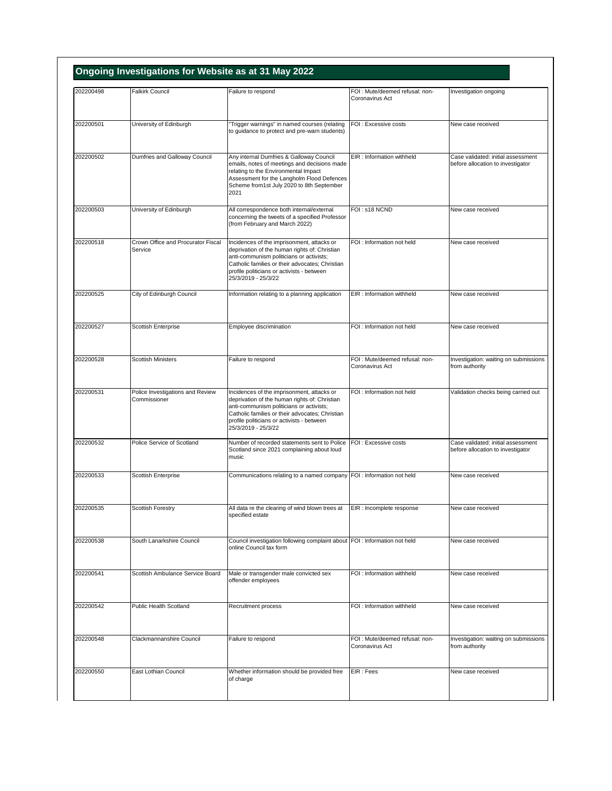| 202200498 | <b>Falkirk Council</b>                           | Failure to respond                                                                                                                                                                                                                                              | FOI : Mute/deemed refusal: non-                   | Investigation ongoing                                                   |
|-----------|--------------------------------------------------|-----------------------------------------------------------------------------------------------------------------------------------------------------------------------------------------------------------------------------------------------------------------|---------------------------------------------------|-------------------------------------------------------------------------|
|           |                                                  |                                                                                                                                                                                                                                                                 | Coronavirus Act                                   |                                                                         |
| 202200501 | University of Edinburgh                          | "Trigger warnings" in named courses (relating<br>to guidance to protect and pre-warn students)                                                                                                                                                                  | FOI : Excessive costs                             | New case received                                                       |
| 202200502 | Dumfries and Galloway Council                    | Any internal Dumfries & Galloway Council<br>emails, notes of meetings and decisions made<br>relating to the Environmental Impact<br>Assessment for the Langholm Flood Defences<br>Scheme from1st July 2020 to 8th September<br>2021                             | EIR: Information withheld                         | Case validated: initial assessment<br>before allocation to investigator |
| 202200503 | University of Edinburgh                          | All correspondence both internal/external<br>concerning the tweets of a specified Professor<br>(from February and March 2022)                                                                                                                                   | FOI: s18 NCND                                     | New case received                                                       |
| 202200518 | Crown Office and Procurator Fiscal<br>Service    | Incidences of the imprisonment, attacks or<br>deprivation of the human rights of: Christian<br>anti-communism politicians or activists;<br>Catholic families or their advocates; Christian<br>profile politicians or activists - between<br>25/3/2019 - 25/3/22 | FOI: Information not held                         | New case received                                                       |
| 202200525 | City of Edinburgh Council                        | Information relating to a planning application                                                                                                                                                                                                                  | EIR : Information withheld                        | New case received                                                       |
| 202200527 | Scottish Enterprise                              | Employee discrimination                                                                                                                                                                                                                                         | FOI : Information not held                        | New case received                                                       |
| 202200528 | <b>Scottish Ministers</b>                        | Failure to respond                                                                                                                                                                                                                                              | FOI : Mute/deemed refusal: non-                   | Investigation: waiting on submissions                                   |
|           |                                                  |                                                                                                                                                                                                                                                                 | Coronavirus Act                                   | from authority                                                          |
| 202200531 | Police Investigations and Review<br>Commissioner | Incidences of the imprisonment, attacks or<br>deprivation of the human rights of: Christian<br>anti-communism politicians or activists;<br>Catholic families or their advocates; Christian<br>profile politicians or activists - between<br>25/3/2019 - 25/3/22 | FOI: Information not held                         | Validation checks being carried out                                     |
| 202200532 | Police Service of Scotland                       | Number of recorded statements sent to Police<br>Scotland since 2021 complaining about loud<br>music                                                                                                                                                             | FOI : Excessive costs                             | Case validated: initial assessment<br>before allocation to investigator |
| 202200533 | Scottish Enterprise                              | Communications relating to a named company FOI : Information not held                                                                                                                                                                                           |                                                   | New case received                                                       |
| 202200535 | Scottish Forestry                                | All data re the clearing of wind blown trees at<br>specified estate                                                                                                                                                                                             | EIR : Incomplete response                         | New case received                                                       |
| 202200538 | South Lanarkshire Council                        | Council investigation following complaint about FOI : Information not held<br>online Council tax form                                                                                                                                                           |                                                   | New case received                                                       |
| 202200541 | Scottish Ambulance Service Board                 | Male or transgender male convicted sex<br>offender employees                                                                                                                                                                                                    | FOI: Information withheld                         | New case received                                                       |
| 202200542 | <b>Public Health Scotland</b>                    | Recruitment process                                                                                                                                                                                                                                             | FOI : Information withheld                        | New case received                                                       |
| 202200548 | Clackmannanshire Council                         | Failure to respond                                                                                                                                                                                                                                              | FOI: Mute/deemed refusal: non-<br>Coronavirus Act | Investigation: waiting on submissions<br>from authority                 |
| 202200550 | East Lothian Council                             | Whether information should be provided free<br>of charge                                                                                                                                                                                                        | EIR : Fees                                        | New case received                                                       |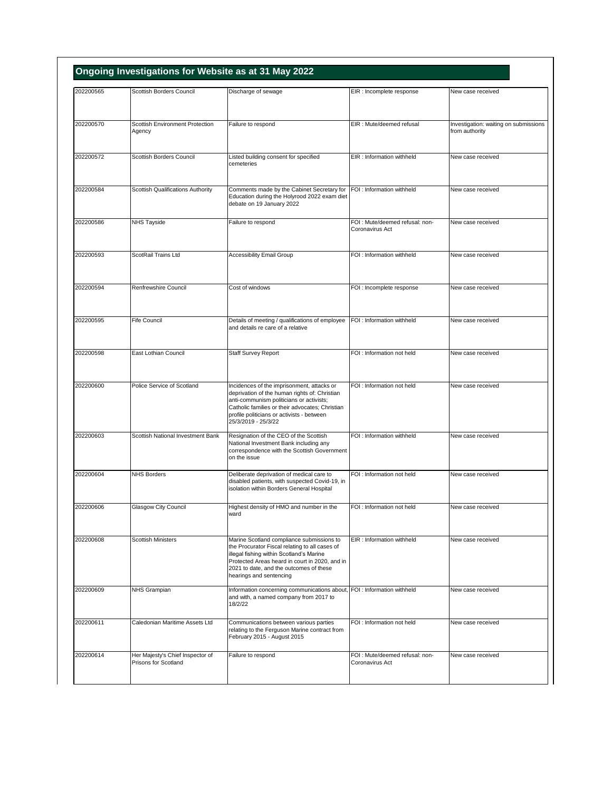| 202200565 | Scottish Borders Council                                 | Discharge of sewage                                                                                                                                                                                                                                             | EIR : Incomplete response                         | New case received                                       |
|-----------|----------------------------------------------------------|-----------------------------------------------------------------------------------------------------------------------------------------------------------------------------------------------------------------------------------------------------------------|---------------------------------------------------|---------------------------------------------------------|
|           |                                                          |                                                                                                                                                                                                                                                                 |                                                   |                                                         |
| 202200570 | Scottish Environment Protection<br>Agency                | Failure to respond                                                                                                                                                                                                                                              | EIR : Mute/deemed refusal                         | Investigation: waiting on submissions<br>from authority |
| 202200572 | Scottish Borders Council                                 | Listed building consent for specified<br>cemeteries                                                                                                                                                                                                             | EIR : Information withheld                        | New case received                                       |
| 202200584 | Scottish Qualifications Authority                        | Comments made by the Cabinet Secretary for<br>Education during the Holyrood 2022 exam diet<br>debate on 19 January 2022                                                                                                                                         | FOI: Information withheld                         | New case received                                       |
| 202200586 | NHS Tayside                                              | Failure to respond                                                                                                                                                                                                                                              | FOI: Mute/deemed refusal: non-<br>Coronavirus Act | New case received                                       |
| 202200593 | ScotRail Trains Ltd                                      | <b>Accessibility Email Group</b>                                                                                                                                                                                                                                | FOI : Information withheld                        | New case received                                       |
| 202200594 | Renfrewshire Council                                     | Cost of windows                                                                                                                                                                                                                                                 | FOI : Incomplete response                         | New case received                                       |
| 202200595 | Fife Council                                             | Details of meeting / qualifications of employee<br>and details re care of a relative                                                                                                                                                                            | FOI : Information withheld                        | New case received                                       |
| 202200598 | East Lothian Council                                     | <b>Staff Survey Report</b>                                                                                                                                                                                                                                      | FOI: Information not held                         | New case received                                       |
| 202200600 | Police Service of Scotland                               | Incidences of the imprisonment, attacks or<br>deprivation of the human rights of: Christian<br>anti-communism politicians or activists;<br>Catholic families or their advocates; Christian<br>profile politicians or activists - between<br>25/3/2019 - 25/3/22 | FOI: Information not held                         | New case received                                       |
| 202200603 | Scottish National Investment Bank                        | Resignation of the CEO of the Scottish<br>National Investment Bank including any<br>correspondence with the Scottish Government<br>on the issue                                                                                                                 | FOI : Information withheld                        | New case received                                       |
| 202200604 | <b>NHS Borders</b>                                       | Deliberate deprivation of medical care to<br>disabled patients, with suspected Covid-19, in<br>isolation within Borders General Hospital                                                                                                                        | FOI: Information not held                         | New case received                                       |
| 202200606 | Glasgow City Council                                     | Highest density of HMO and number in the<br>ward                                                                                                                                                                                                                | FOI : Information not held                        | new case received                                       |
| 202200608 | <b>Scottish Ministers</b>                                | Marine Scotland compliance submissions to<br>the Procurator Fiscal relating to all cases of<br>illegal fishing within Scotland's Marine<br>Protected Areas heard in court in 2020, and in<br>2021 to date, and the outcomes of these<br>hearings and sentencing | EIR : Information withheld                        | New case received                                       |
| 202200609 | NHS Grampian                                             | Information concerning communications about, FOI : Information withheld<br>and with, a named company from 2017 to<br>18/2/22                                                                                                                                    |                                                   | New case received                                       |
| 202200611 | Caledonian Maritime Assets Ltd                           | Communications between various parties<br>relating to the Ferguson Marine contract from<br>February 2015 - August 2015                                                                                                                                          | FOI : Information not held                        | New case received                                       |
| 202200614 | Her Majesty's Chief Inspector of<br>Prisons for Scotland | Failure to respond                                                                                                                                                                                                                                              | FOI: Mute/deemed refusal: non-<br>Coronavirus Act | New case received                                       |